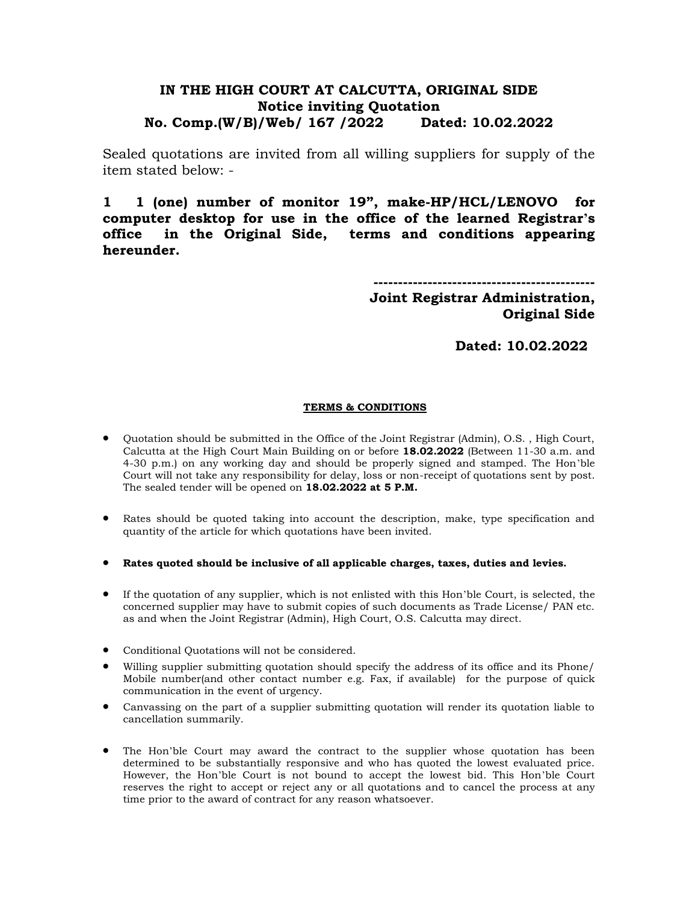## **IN THE HIGH COURT AT CALCUTTA, ORIGINAL SIDE Notice inviting Quotation No. Comp.(W/B)/Web/ 167 /2022 Dated: 10.02.2022**

Sealed quotations are invited from all willing suppliers for supply of the item stated below: -

**1 1 (one) number of monitor 19", make-HP/HCL/LENOVO for computer desktop for use in the office of the learned Registrar's office in the Original Side, terms and conditions appearing hereunder.**

> **--------------------------------------------- Joint Registrar Administration, Original Side**

> > **Dated: 10.02.2022**

## **TERMS & CONDITIONS**

- Quotation should be submitted in the Office of the Joint Registrar (Admin), O.S. , High Court, Calcutta at the High Court Main Building on or before **18.02.2022** (Between 11-30 a.m. and 4-30 p.m.) on any working day and should be properly signed and stamped. The Hon'ble Court will not take any responsibility for delay, loss or non-receipt of quotations sent by post. The sealed tender will be opened on **18.02.2022 at 5 P.M.**
- Rates should be quoted taking into account the description, make, type specification and quantity of the article for which quotations have been invited.
- **Rates quoted should be inclusive of all applicable charges, taxes, duties and levies.**
- If the quotation of any supplier, which is not enlisted with this Hon'ble Court, is selected, the concerned supplier may have to submit copies of such documents as Trade License/ PAN etc. as and when the Joint Registrar (Admin), High Court, O.S. Calcutta may direct.
- Conditional Quotations will not be considered.
- Willing supplier submitting quotation should specify the address of its office and its Phone/ Mobile number(and other contact number e.g. Fax, if available) for the purpose of quick communication in the event of urgency.
- Canvassing on the part of a supplier submitting quotation will render its quotation liable to cancellation summarily.
- The Hon'ble Court may award the contract to the supplier whose quotation has been determined to be substantially responsive and who has quoted the lowest evaluated price. However, the Hon'ble Court is not bound to accept the lowest bid. This Hon'ble Court reserves the right to accept or reject any or all quotations and to cancel the process at any time prior to the award of contract for any reason whatsoever.